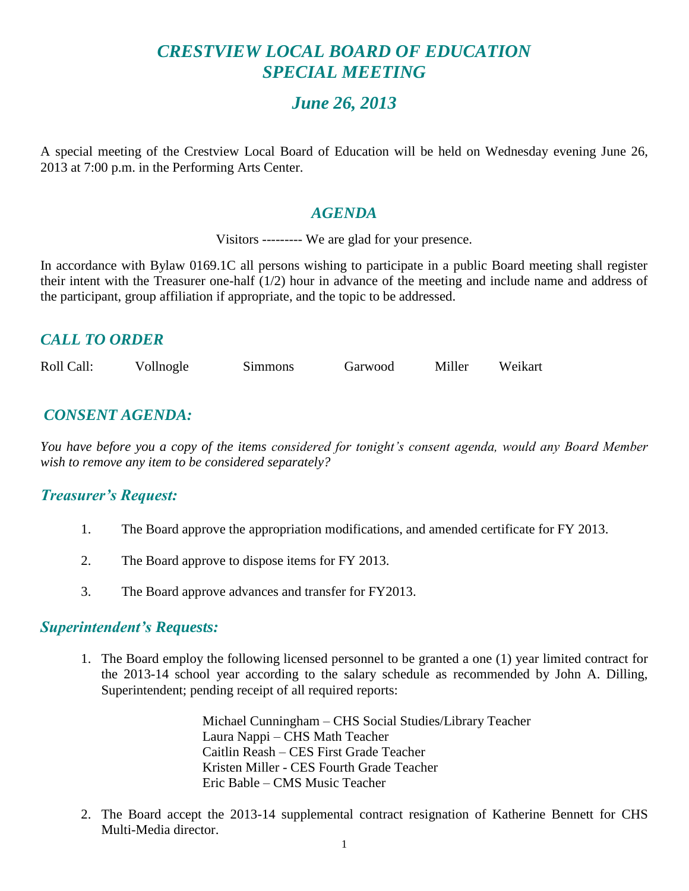# *CRESTVIEW LOCAL BOARD OF EDUCATION SPECIAL MEETING*

# *June 26, 2013*

A special meeting of the Crestview Local Board of Education will be held on Wednesday evening June 26, 2013 at 7:00 p.m. in the Performing Arts Center.

#### *AGENDA*

Visitors --------- We are glad for your presence.

In accordance with Bylaw 0169.1C all persons wishing to participate in a public Board meeting shall register their intent with the Treasurer one-half (1/2) hour in advance of the meeting and include name and address of the participant, group affiliation if appropriate, and the topic to be addressed.

# *CALL TO ORDER*

| Roll Call: | Vollnogle | Simmons | Garwood | Miller | Weikart |
|------------|-----------|---------|---------|--------|---------|
|------------|-----------|---------|---------|--------|---------|

# *CONSENT AGENDA:*

*You have before you a copy of the items considered for tonight's consent agenda, would any Board Member wish to remove any item to be considered separately?*

## *Treasurer's Request:*

- 1. The Board approve the appropriation modifications, and amended certificate for FY 2013.
- 2. The Board approve to dispose items for FY 2013.
- 3. The Board approve advances and transfer for FY2013.

#### *Superintendent's Requests:*

1. The Board employ the following licensed personnel to be granted a one (1) year limited contract for the 2013-14 school year according to the salary schedule as recommended by John A. Dilling, Superintendent; pending receipt of all required reports:

> Michael Cunningham – CHS Social Studies/Library Teacher Laura Nappi – CHS Math Teacher Caitlin Reash – CES First Grade Teacher Kristen Miller - CES Fourth Grade Teacher Eric Bable – CMS Music Teacher

2. The Board accept the 2013-14 supplemental contract resignation of Katherine Bennett for CHS Multi-Media director.